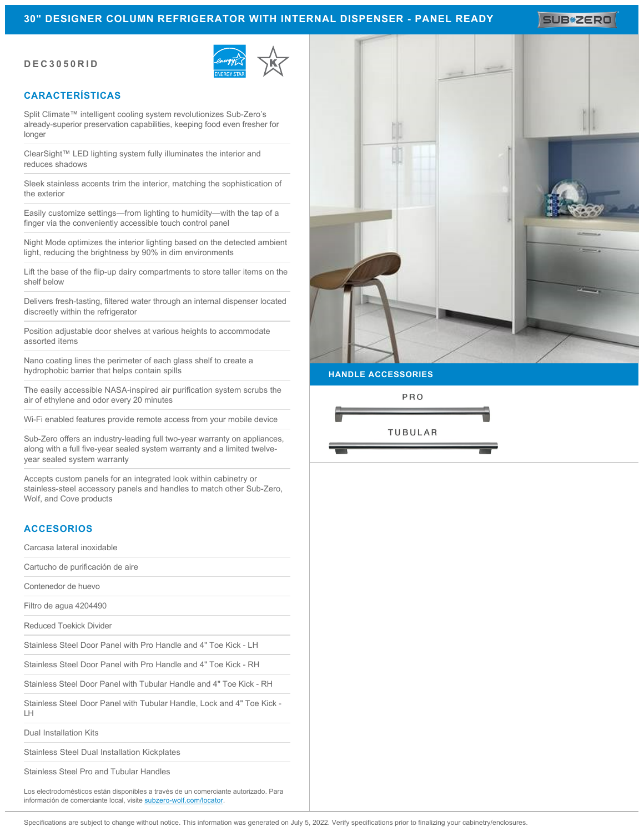# **30" DESIGNER COLUMN REFRIGERATOR WITH INTERNAL DISPENSER - PANEL READY**

SUB#2ERO

#### **DEC3050RID**



# **CARACTERÍSTICAS**

Split Climate™ intelligent cooling system revolutionizes Sub-Zero's already-superior preservation capabilities, keeping food even fresher for longer

ClearSight™ LED lighting system fully illuminates the interior and reduces shadows

Sleek stainless accents trim the interior, matching the sophistication of the exterior

Easily customize settings—from lighting to humidity—with the tap of a finger via the conveniently accessible touch control panel

Night Mode optimizes the interior lighting based on the detected ambient light, reducing the brightness by 90% in dim environments

Lift the base of the flip-up dairy compartments to store taller items on the shelf below

Delivers fresh-tasting, filtered water through an internal dispenser located discreetly within the refrigerator

Position adjustable door shelves at various heights to accommodate assorted items

Nano coating lines the perimeter of each glass shelf to create a hydrophobic barrier that helps contain spills

The easily accessible NASA-inspired air purification system scrubs the air of ethylene and odor every 20 minutes

Wi-Fi enabled features provide remote access from your mobile device

Sub-Zero offers an industry-leading full two-year warranty on appliances, along with a full five-year sealed system warranty and a limited twelveyear sealed system warranty

Accepts custom panels for an integrated look within cabinetry or stainless-steel accessory panels and handles to match other Sub-Zero, Wolf, and Cove products

### **ACCESORIOS**

Carcasa lateral inoxidable

Cartucho de purificación de aire

Contenedor de huevo

Filtro de agua 4204490

Reduced Toekick Divider

Stainless Steel Door Panel with Pro Handle and 4" Toe Kick - LH

Stainless Steel Door Panel with Pro Handle and 4" Toe Kick - RH

Stainless Steel Door Panel with Tubular Handle and 4" Toe Kick - RH

Stainless Steel Door Panel with Tubular Handle, Lock and 4" Toe Kick - LH

Dual Installation Kits

Stainless Steel Dual Installation Kickplates

Stainless Steel Pro and Tubular Handles

Los electrodomésticos están disponibles a través de un comerciante autorizado. Para información de comerciante local, visite [subzero-wolf.com/locator](http://www.subzero-wolf.com/locator).



**HANDLE ACCESSORIES**

PRO